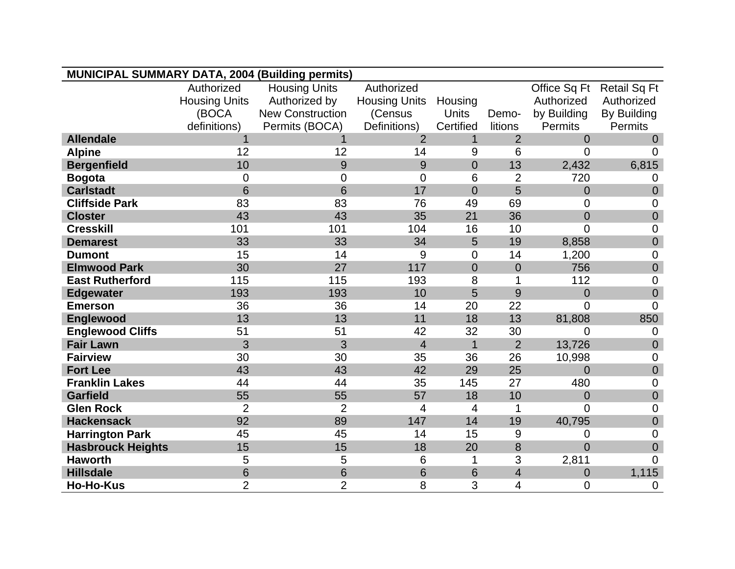| <b>MUNICIPAL SUMMARY DATA, 2004 (Building permits)</b> |                      |                         |                      |                |                |                |                     |
|--------------------------------------------------------|----------------------|-------------------------|----------------------|----------------|----------------|----------------|---------------------|
|                                                        | Authorized           | <b>Housing Units</b>    | Authorized           |                |                | Office Sq Ft   | <b>Retail Sq Ft</b> |
|                                                        | <b>Housing Units</b> | Authorized by           | <b>Housing Units</b> | Housing        |                | Authorized     | Authorized          |
|                                                        | (BOCA                | <b>New Construction</b> | (Census              | <b>Units</b>   | Demo-          | by Building    | By Building         |
|                                                        | definitions)         | Permits (BOCA)          | Definitions)         | Certified      | litions        | <b>Permits</b> | <b>Permits</b>      |
| <b>Allendale</b>                                       |                      | 1                       | $\overline{2}$       | $\mathbf{1}$   | $\overline{2}$ | $\Omega$       | $\Omega$            |
| <b>Alpine</b>                                          | 12                   | 12                      | 14                   | 9              | 6              | 0              | $\Omega$            |
| <b>Bergenfield</b>                                     | 10                   | 9                       | 9                    | $\overline{0}$ | 13             | 2,432          | 6,815               |
| <b>Bogota</b>                                          | 0                    | $\overline{0}$          | 0                    | 6              | $\overline{2}$ | 720            | 0                   |
| <b>Carlstadt</b>                                       | 6                    | 6                       | 17                   | $\overline{0}$ | 5              | $\overline{0}$ | $\overline{0}$      |
| <b>Cliffside Park</b>                                  | 83                   | 83                      | 76                   | 49             | 69             | $\overline{0}$ | $\overline{0}$      |
| <b>Closter</b>                                         | 43                   | 43                      | 35                   | 21             | 36             | $\overline{0}$ | $\overline{0}$      |
| <b>Cresskill</b>                                       | 101                  | 101                     | 104                  | 16             | 10             | $\overline{0}$ | 0                   |
| <b>Demarest</b>                                        | 33                   | 33                      | 34                   | 5              | 19             | 8,858          | $\overline{0}$      |
| <b>Dumont</b>                                          | 15                   | 14                      | 9                    | $\overline{0}$ | 14             | 1,200          | $\overline{0}$      |
| <b>Elmwood Park</b>                                    | 30                   | 27                      | 117                  | $\overline{0}$ | $\overline{0}$ | 756            | $\overline{0}$      |
| <b>East Rutherford</b>                                 | 115                  | 115                     | 193                  | 8              |                | 112            | $\mathbf 0$         |
| <b>Edgewater</b>                                       | 193                  | 193                     | 10                   | 5              | 9              | $\overline{0}$ | $\overline{0}$      |
| <b>Emerson</b>                                         | 36                   | 36                      | 14                   | 20             | 22             | $\overline{0}$ | $\overline{0}$      |
| <b>Englewood</b>                                       | 13                   | 13                      | 11                   | 18             | 13             | 81,808         | 850                 |
| <b>Englewood Cliffs</b>                                | 51                   | 51                      | 42                   | 32             | 30             | $\overline{0}$ | 0                   |
| <b>Fair Lawn</b>                                       | 3                    | 3                       | $\overline{4}$       | $\overline{1}$ | $\overline{2}$ | 13,726         | $\overline{0}$      |
| <b>Fairview</b>                                        | 30                   | 30                      | 35                   | 36             | 26             | 10,998         | $\overline{0}$      |
| <b>Fort Lee</b>                                        | 43                   | 43                      | 42                   | 29             | 25             | $\overline{0}$ | $\mathbf 0$         |
| <b>Franklin Lakes</b>                                  | 44                   | 44                      | 35                   | 145            | 27             | 480            | $\mathbf 0$         |
| <b>Garfield</b>                                        | 55                   | 55                      | 57                   | 18             | 10             | $\overline{0}$ | $\mathbf 0$         |
| <b>Glen Rock</b>                                       | $\overline{2}$       | $\overline{2}$          | 4                    | 4              | 1              | $\Omega$       | $\overline{0}$      |
| <b>Hackensack</b>                                      | 92                   | 89                      | 147                  | 14             | 19             | 40,795         | $\overline{0}$      |
| <b>Harrington Park</b>                                 | 45                   | 45                      | 14                   | 15             | 9              | $\overline{0}$ | $\overline{0}$      |
| <b>Hasbrouck Heights</b>                               | 15                   | 15                      | 18                   | 20             | 8              | $\overline{0}$ | $\overline{0}$      |
| <b>Haworth</b>                                         | 5                    | 5                       | 6                    | 1              | 3              | 2,811          | $\overline{0}$      |
| <b>Hillsdale</b>                                       | 6                    | 6                       | 6                    | 6              | $\overline{4}$ | $\overline{0}$ | 1,115               |
| <b>Ho-Ho-Kus</b>                                       | $\overline{2}$       | $\overline{2}$          | 8                    | 3              | 4              | $\overline{0}$ | $\overline{0}$      |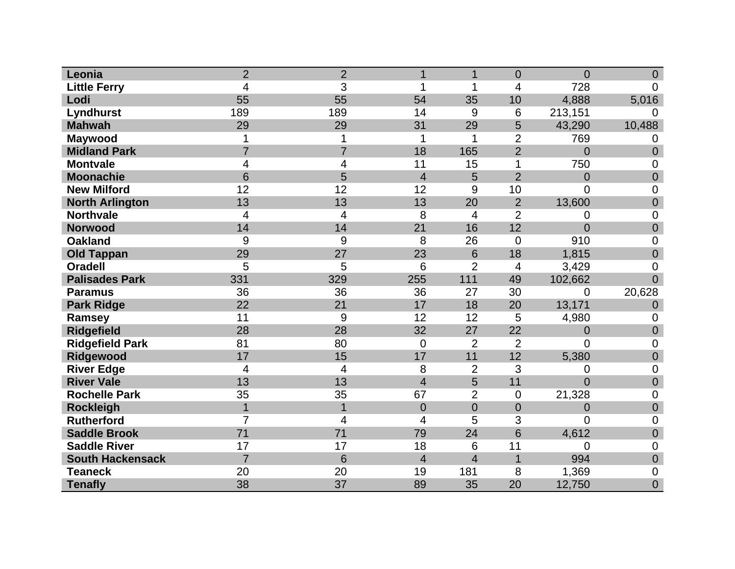| Leonia                  | $\overline{2}$ | $\overline{2}$ | 1              | 1              | $\overline{0}$  | $\overline{0}$ | $\overline{0}$ |
|-------------------------|----------------|----------------|----------------|----------------|-----------------|----------------|----------------|
| <b>Little Ferry</b>     | $\overline{4}$ | 3              | 1              | 1              | $\overline{4}$  | 728            | 0              |
| Lodi                    | 55             | 55             | 54             | 35             | 10              | 4,888          | 5,016          |
| Lyndhurst               | 189            | 189            | 14             | 9              | $6\phantom{1}6$ | 213,151        | 0              |
| <b>Mahwah</b>           | 29             | 29             | 31             | 29             | 5               | 43,290         | 10,488         |
| <b>Maywood</b>          |                |                | 1              | 1              | $\overline{2}$  | 769            | 0              |
| <b>Midland Park</b>     | $\overline{7}$ | $\overline{7}$ | 18             | 165            | $\overline{2}$  | $\overline{0}$ | $\overline{0}$ |
| <b>Montvale</b>         | 4              | 4              | 11             | 15             | 1               | 750            | 0              |
| <b>Moonachie</b>        | 6              | 5              | $\overline{4}$ | 5              | $\overline{2}$  | $\overline{0}$ | $\mathbf 0$    |
| <b>New Milford</b>      | 12             | 12             | 12             | 9              | 10              | 0              | 0              |
| <b>North Arlington</b>  | 13             | 13             | 13             | 20             | $\overline{2}$  | 13,600         | $\overline{0}$ |
| <b>Northvale</b>        | 4              | 4              | 8              | 4              | $\overline{2}$  | 0              | 0              |
| <b>Norwood</b>          | 14             | 14             | 21             | 16             | 12              | $\overline{0}$ | $\overline{0}$ |
| <b>Oakland</b>          | 9              | 9              | 8              | 26             | $\mathbf 0$     | 910            | 0              |
| <b>Old Tappan</b>       | 29             | 27             | 23             | 6              | 18              | 1,815          | $\mathbf 0$    |
| <b>Oradell</b>          | 5              | 5              | 6              | $\overline{2}$ | $\overline{4}$  | 3,429          | $\overline{0}$ |
| <b>Palisades Park</b>   | 331            | 329            | 255            | 111            | 49              | 102,662        | $\overline{0}$ |
| <b>Paramus</b>          | 36             | 36             | 36             | 27             | 30              | 0              | 20,628         |
| <b>Park Ridge</b>       | 22             | 21             | 17             | 18             | 20              | 13,171         | $\overline{0}$ |
| Ramsey                  | 11             | 9              | 12             | 12             | 5               | 4,980          | 0              |
| <b>Ridgefield</b>       | 28             | 28             | 32             | 27             | 22              | $\overline{0}$ | $\mathbf 0$    |
| <b>Ridgefield Park</b>  | 81             | 80             | $\overline{0}$ | $\overline{2}$ | $\overline{2}$  | 0              | 0              |
| Ridgewood               | 17             | 15             | 17             | 11             | 12              | 5,380          | $\overline{0}$ |
| <b>River Edge</b>       | 4              | 4              | 8              | $\overline{2}$ | 3               | 0              | $\mathbf 0$    |
| <b>River Vale</b>       | 13             | 13             | $\overline{4}$ | 5              | 11              | $\overline{0}$ | $\mathbf 0$    |
| <b>Rochelle Park</b>    | 35             | 35             | 67             | $\overline{2}$ | $\mathbf 0$     | 21,328         | 0              |
| <b>Rockleigh</b>        | 1              | $\mathbf{1}$   | $\overline{0}$ | $\overline{0}$ | $\overline{0}$  | $\overline{0}$ | $\overline{0}$ |
| <b>Rutherford</b>       | $\overline{7}$ | 4              | 4              | 5              | 3               | 0              | $\overline{0}$ |
| <b>Saddle Brook</b>     | 71             | 71             | 79             | 24             | 6               | 4,612          | $\overline{0}$ |
| <b>Saddle River</b>     | 17             | 17             | 18             | 6              | 11              | $\overline{0}$ | $\mathbf 0$    |
| <b>South Hackensack</b> | $\overline{7}$ | 6              | $\overline{4}$ | $\overline{4}$ | 1               | 994            | $\mathbf 0$    |
| <b>Teaneck</b>          | 20             | 20             | 19             | 181            | 8               | 1,369          | 0              |
| <b>Tenafly</b>          | 38             | 37             | 89             | 35             | 20              | 12,750         | $\overline{0}$ |